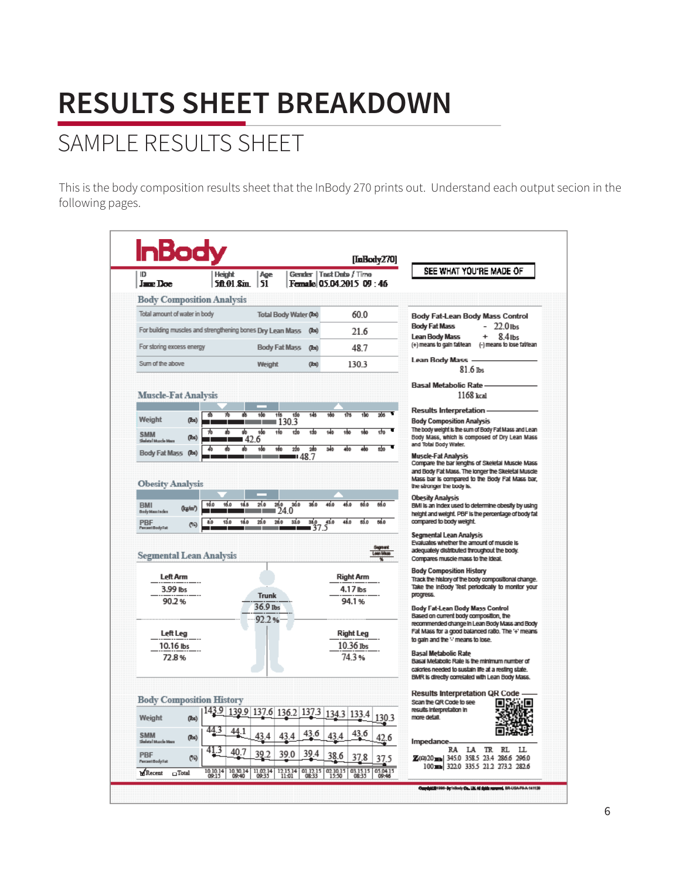## SAMPLE RESULTS SHEET

This is the body composition results sheet that the InBody 270 prints out. Understand each output secion in the following pages.

| Gender   Tast Date / Time<br>51<br>Jane Doe<br>Female 05.04.2015 09:46<br>500 O.S.m.<br><b>Body Composition Analysis</b><br>Total amount of water in body<br>60.0<br>Total Body Water (Ibs)<br>Body Fat-Lean Body Mass Control<br>22.0 lbs<br>Body Fat Mass<br>For building muscles and strengthening bones Dry Lean Mass<br>216<br>(bs)<br>$8.4$ lbs<br>Lean Body Mass<br>÷<br>(+) means to gain faMean<br>For storing excess energy<br><b>Body Fat Mass</b><br>48.7<br>(lbs)<br><b>Lean Body Mass</b><br>Sum of the above<br>1303<br>Weight<br>(bs)<br>$81.6$ lbs<br><b>Basal Metabolic Rate</b><br><b>Muscle-Fat Analysis</b><br>1168 kcal<br><b>Results Interpretation</b><br>130<br>205<br>1de<br>115<br>145<br>160<br>কৰ<br>150<br>楍<br>(lbs)<br>∎1303<br><b>Body Composition Analysis</b><br>٠<br>The body weight is the sum of Body Fat Mass and Lean<br>100<br>110<br>ᇳ<br>क<br>ᠼ<br>क<br>ah<br>sko<br>tèn<br><b>SMM</b><br>(lbs)<br>142.6<br>Skalata   Ne<br>and Total Body Water.<br>160<br>100<br>220<br>240<br>3d <sup>6</sup><br>620<br>46<br>sh.<br>(bs)<br>Muscle-Fat Analysis<br>98.7 ₪<br>Compare the bar lengths of Skeletal Muscle Mass<br>the stronger the body is.<br><b>Obesity Analysis</b><br>10.0<br>15.0<br>18.5<br>21.0<br>26.0<br>30.0<br>36 d<br>46.0<br>46.0<br>66.0<br>66.0<br>BMI is an index used to determine obesity by using<br>(kg/m?)<br>∎24.0<br>┱<br>260<br>compared to body weight.<br>13.0<br>18.0<br>25.0<br>33.0<br>$\frac{38.0}{37}$<br>48.0<br>63.0<br>58.0<br>$5^{43.0}$<br>8.0<br>(%)<br>Percent Body Fat<br><b>Segmental Lean Analysis</b><br>Evaluates whether the amount of muscle is<br>adequately distributed throughout the body.<br>Compares muscle mass to the Ideal.<br><b>Body Composition History</b><br>Left Arm<br><b>Right Arm</b><br>Track the history of the body compositional change.<br>3.99 lbs<br>4.17 lbs<br>progress.<br>Trunk<br>90.2%<br>94.1%<br>36.9 lbs<br>Body Fat-Lean Body Mass Control<br>Based on current body composition, the<br>92.2%<br>recommended change in Lean Body Mass and Body<br><b>Right Leg</b><br>Left Leg<br>to gain and the '-' means to lose.<br>10.36 Ibs<br>10.16 lbs<br><b>Basal Metabolic Rate</b><br>74.3%<br>72.8%<br>Basal Metabolic Rate is the minimum number of<br>calories needed to sustain life at a resting state.<br>BMR is directly correlated with Lean Body Mass.<br><b>Results Interpretation QR Code</b><br>Scan the QR Code to see<br>┍<br>I۳<br>results interpretation in<br>139.9 137.6 136.2 137.3<br>134.3 133.4<br>1303<br>more detail.<br>(b)<br>44.3<br>44.1<br>43.6<br>43.6<br><b>SMM</b><br>43<br>4<br>43<br>43<br>(bs)<br>.6<br>Impedance<br>Skalata   Muscle Ma<br>RL<br>IJ.<br>RA<br>LA<br>TR.<br>413<br>40<br>39.4 | ID. | <b>InBody</b><br><b>Height</b> | Age |  |  | [InBody270] | SEE WHAT YOU'RE MADE OF                              |
|----------------------------------------------------------------------------------------------------------------------------------------------------------------------------------------------------------------------------------------------------------------------------------------------------------------------------------------------------------------------------------------------------------------------------------------------------------------------------------------------------------------------------------------------------------------------------------------------------------------------------------------------------------------------------------------------------------------------------------------------------------------------------------------------------------------------------------------------------------------------------------------------------------------------------------------------------------------------------------------------------------------------------------------------------------------------------------------------------------------------------------------------------------------------------------------------------------------------------------------------------------------------------------------------------------------------------------------------------------------------------------------------------------------------------------------------------------------------------------------------------------------------------------------------------------------------------------------------------------------------------------------------------------------------------------------------------------------------------------------------------------------------------------------------------------------------------------------------------------------------------------------------------------------------------------------------------------------------------------------------------------------------------------------------------------------------------------------------------------------------------------------------------------------------------------------------------------------------------------------------------------------------------------------------------------------------------------------------------------------------------------------------------------------------------------------------------------------------------------------------------------------------------------------------------------------------------------------------------------------------------------------------------------------------------------------------------------------------------------------------------------|-----|--------------------------------|-----|--|--|-------------|------------------------------------------------------|
|                                                                                                                                                                                                                                                                                                                                                                                                                                                                                                                                                                                                                                                                                                                                                                                                                                                                                                                                                                                                                                                                                                                                                                                                                                                                                                                                                                                                                                                                                                                                                                                                                                                                                                                                                                                                                                                                                                                                                                                                                                                                                                                                                                                                                                                                                                                                                                                                                                                                                                                                                                                                                                                                                                                                                          |     |                                |     |  |  |             |                                                      |
|                                                                                                                                                                                                                                                                                                                                                                                                                                                                                                                                                                                                                                                                                                                                                                                                                                                                                                                                                                                                                                                                                                                                                                                                                                                                                                                                                                                                                                                                                                                                                                                                                                                                                                                                                                                                                                                                                                                                                                                                                                                                                                                                                                                                                                                                                                                                                                                                                                                                                                                                                                                                                                                                                                                                                          |     |                                |     |  |  |             |                                                      |
|                                                                                                                                                                                                                                                                                                                                                                                                                                                                                                                                                                                                                                                                                                                                                                                                                                                                                                                                                                                                                                                                                                                                                                                                                                                                                                                                                                                                                                                                                                                                                                                                                                                                                                                                                                                                                                                                                                                                                                                                                                                                                                                                                                                                                                                                                                                                                                                                                                                                                                                                                                                                                                                                                                                                                          |     |                                |     |  |  |             |                                                      |
|                                                                                                                                                                                                                                                                                                                                                                                                                                                                                                                                                                                                                                                                                                                                                                                                                                                                                                                                                                                                                                                                                                                                                                                                                                                                                                                                                                                                                                                                                                                                                                                                                                                                                                                                                                                                                                                                                                                                                                                                                                                                                                                                                                                                                                                                                                                                                                                                                                                                                                                                                                                                                                                                                                                                                          |     |                                |     |  |  |             |                                                      |
|                                                                                                                                                                                                                                                                                                                                                                                                                                                                                                                                                                                                                                                                                                                                                                                                                                                                                                                                                                                                                                                                                                                                                                                                                                                                                                                                                                                                                                                                                                                                                                                                                                                                                                                                                                                                                                                                                                                                                                                                                                                                                                                                                                                                                                                                                                                                                                                                                                                                                                                                                                                                                                                                                                                                                          |     |                                |     |  |  |             | (-) means to lose fat/lean                           |
|                                                                                                                                                                                                                                                                                                                                                                                                                                                                                                                                                                                                                                                                                                                                                                                                                                                                                                                                                                                                                                                                                                                                                                                                                                                                                                                                                                                                                                                                                                                                                                                                                                                                                                                                                                                                                                                                                                                                                                                                                                                                                                                                                                                                                                                                                                                                                                                                                                                                                                                                                                                                                                                                                                                                                          |     |                                |     |  |  |             |                                                      |
|                                                                                                                                                                                                                                                                                                                                                                                                                                                                                                                                                                                                                                                                                                                                                                                                                                                                                                                                                                                                                                                                                                                                                                                                                                                                                                                                                                                                                                                                                                                                                                                                                                                                                                                                                                                                                                                                                                                                                                                                                                                                                                                                                                                                                                                                                                                                                                                                                                                                                                                                                                                                                                                                                                                                                          |     |                                |     |  |  |             |                                                      |
| Weight<br><b>Body Fat Mass</b><br><b>Obesity Analysis</b>                                                                                                                                                                                                                                                                                                                                                                                                                                                                                                                                                                                                                                                                                                                                                                                                                                                                                                                                                                                                                                                                                                                                                                                                                                                                                                                                                                                                                                                                                                                                                                                                                                                                                                                                                                                                                                                                                                                                                                                                                                                                                                                                                                                                                                                                                                                                                                                                                                                                                                                                                                                                                                                                                                |     |                                |     |  |  |             |                                                      |
|                                                                                                                                                                                                                                                                                                                                                                                                                                                                                                                                                                                                                                                                                                                                                                                                                                                                                                                                                                                                                                                                                                                                                                                                                                                                                                                                                                                                                                                                                                                                                                                                                                                                                                                                                                                                                                                                                                                                                                                                                                                                                                                                                                                                                                                                                                                                                                                                                                                                                                                                                                                                                                                                                                                                                          |     |                                |     |  |  |             |                                                      |
|                                                                                                                                                                                                                                                                                                                                                                                                                                                                                                                                                                                                                                                                                                                                                                                                                                                                                                                                                                                                                                                                                                                                                                                                                                                                                                                                                                                                                                                                                                                                                                                                                                                                                                                                                                                                                                                                                                                                                                                                                                                                                                                                                                                                                                                                                                                                                                                                                                                                                                                                                                                                                                                                                                                                                          |     |                                |     |  |  |             |                                                      |
|                                                                                                                                                                                                                                                                                                                                                                                                                                                                                                                                                                                                                                                                                                                                                                                                                                                                                                                                                                                                                                                                                                                                                                                                                                                                                                                                                                                                                                                                                                                                                                                                                                                                                                                                                                                                                                                                                                                                                                                                                                                                                                                                                                                                                                                                                                                                                                                                                                                                                                                                                                                                                                                                                                                                                          |     |                                |     |  |  |             | Body Mass, which is composed of Dry Lean Mass        |
|                                                                                                                                                                                                                                                                                                                                                                                                                                                                                                                                                                                                                                                                                                                                                                                                                                                                                                                                                                                                                                                                                                                                                                                                                                                                                                                                                                                                                                                                                                                                                                                                                                                                                                                                                                                                                                                                                                                                                                                                                                                                                                                                                                                                                                                                                                                                                                                                                                                                                                                                                                                                                                                                                                                                                          |     |                                |     |  |  |             |                                                      |
|                                                                                                                                                                                                                                                                                                                                                                                                                                                                                                                                                                                                                                                                                                                                                                                                                                                                                                                                                                                                                                                                                                                                                                                                                                                                                                                                                                                                                                                                                                                                                                                                                                                                                                                                                                                                                                                                                                                                                                                                                                                                                                                                                                                                                                                                                                                                                                                                                                                                                                                                                                                                                                                                                                                                                          |     |                                |     |  |  |             | and Body Fat Mass. The longer the Skeletal Muscle    |
| <b>BMI</b><br>Body Mass Inclus<br><b>PBF</b><br><b>Segmental Lean Analysis</b>                                                                                                                                                                                                                                                                                                                                                                                                                                                                                                                                                                                                                                                                                                                                                                                                                                                                                                                                                                                                                                                                                                                                                                                                                                                                                                                                                                                                                                                                                                                                                                                                                                                                                                                                                                                                                                                                                                                                                                                                                                                                                                                                                                                                                                                                                                                                                                                                                                                                                                                                                                                                                                                                           |     |                                |     |  |  |             | Mass bar is compared to the Body Fat Mass bar,       |
|                                                                                                                                                                                                                                                                                                                                                                                                                                                                                                                                                                                                                                                                                                                                                                                                                                                                                                                                                                                                                                                                                                                                                                                                                                                                                                                                                                                                                                                                                                                                                                                                                                                                                                                                                                                                                                                                                                                                                                                                                                                                                                                                                                                                                                                                                                                                                                                                                                                                                                                                                                                                                                                                                                                                                          |     |                                |     |  |  |             |                                                      |
|                                                                                                                                                                                                                                                                                                                                                                                                                                                                                                                                                                                                                                                                                                                                                                                                                                                                                                                                                                                                                                                                                                                                                                                                                                                                                                                                                                                                                                                                                                                                                                                                                                                                                                                                                                                                                                                                                                                                                                                                                                                                                                                                                                                                                                                                                                                                                                                                                                                                                                                                                                                                                                                                                                                                                          |     |                                |     |  |  |             | height and weight. PBF is the percentage of body fat |
|                                                                                                                                                                                                                                                                                                                                                                                                                                                                                                                                                                                                                                                                                                                                                                                                                                                                                                                                                                                                                                                                                                                                                                                                                                                                                                                                                                                                                                                                                                                                                                                                                                                                                                                                                                                                                                                                                                                                                                                                                                                                                                                                                                                                                                                                                                                                                                                                                                                                                                                                                                                                                                                                                                                                                          |     |                                |     |  |  |             |                                                      |
|                                                                                                                                                                                                                                                                                                                                                                                                                                                                                                                                                                                                                                                                                                                                                                                                                                                                                                                                                                                                                                                                                                                                                                                                                                                                                                                                                                                                                                                                                                                                                                                                                                                                                                                                                                                                                                                                                                                                                                                                                                                                                                                                                                                                                                                                                                                                                                                                                                                                                                                                                                                                                                                                                                                                                          |     |                                |     |  |  |             |                                                      |
|                                                                                                                                                                                                                                                                                                                                                                                                                                                                                                                                                                                                                                                                                                                                                                                                                                                                                                                                                                                                                                                                                                                                                                                                                                                                                                                                                                                                                                                                                                                                                                                                                                                                                                                                                                                                                                                                                                                                                                                                                                                                                                                                                                                                                                                                                                                                                                                                                                                                                                                                                                                                                                                                                                                                                          |     |                                |     |  |  |             |                                                      |
|                                                                                                                                                                                                                                                                                                                                                                                                                                                                                                                                                                                                                                                                                                                                                                                                                                                                                                                                                                                                                                                                                                                                                                                                                                                                                                                                                                                                                                                                                                                                                                                                                                                                                                                                                                                                                                                                                                                                                                                                                                                                                                                                                                                                                                                                                                                                                                                                                                                                                                                                                                                                                                                                                                                                                          |     |                                |     |  |  |             |                                                      |
|                                                                                                                                                                                                                                                                                                                                                                                                                                                                                                                                                                                                                                                                                                                                                                                                                                                                                                                                                                                                                                                                                                                                                                                                                                                                                                                                                                                                                                                                                                                                                                                                                                                                                                                                                                                                                                                                                                                                                                                                                                                                                                                                                                                                                                                                                                                                                                                                                                                                                                                                                                                                                                                                                                                                                          |     |                                |     |  |  |             | Take the InBody Test periodically to monitor your    |
| <b>Body Composition History</b><br>Weight                                                                                                                                                                                                                                                                                                                                                                                                                                                                                                                                                                                                                                                                                                                                                                                                                                                                                                                                                                                                                                                                                                                                                                                                                                                                                                                                                                                                                                                                                                                                                                                                                                                                                                                                                                                                                                                                                                                                                                                                                                                                                                                                                                                                                                                                                                                                                                                                                                                                                                                                                                                                                                                                                                                |     |                                |     |  |  |             |                                                      |
|                                                                                                                                                                                                                                                                                                                                                                                                                                                                                                                                                                                                                                                                                                                                                                                                                                                                                                                                                                                                                                                                                                                                                                                                                                                                                                                                                                                                                                                                                                                                                                                                                                                                                                                                                                                                                                                                                                                                                                                                                                                                                                                                                                                                                                                                                                                                                                                                                                                                                                                                                                                                                                                                                                                                                          |     |                                |     |  |  |             |                                                      |
|                                                                                                                                                                                                                                                                                                                                                                                                                                                                                                                                                                                                                                                                                                                                                                                                                                                                                                                                                                                                                                                                                                                                                                                                                                                                                                                                                                                                                                                                                                                                                                                                                                                                                                                                                                                                                                                                                                                                                                                                                                                                                                                                                                                                                                                                                                                                                                                                                                                                                                                                                                                                                                                                                                                                                          |     |                                |     |  |  |             | Fat Mass for a good balanced ratio. The '+' means    |
|                                                                                                                                                                                                                                                                                                                                                                                                                                                                                                                                                                                                                                                                                                                                                                                                                                                                                                                                                                                                                                                                                                                                                                                                                                                                                                                                                                                                                                                                                                                                                                                                                                                                                                                                                                                                                                                                                                                                                                                                                                                                                                                                                                                                                                                                                                                                                                                                                                                                                                                                                                                                                                                                                                                                                          |     |                                |     |  |  |             |                                                      |
|                                                                                                                                                                                                                                                                                                                                                                                                                                                                                                                                                                                                                                                                                                                                                                                                                                                                                                                                                                                                                                                                                                                                                                                                                                                                                                                                                                                                                                                                                                                                                                                                                                                                                                                                                                                                                                                                                                                                                                                                                                                                                                                                                                                                                                                                                                                                                                                                                                                                                                                                                                                                                                                                                                                                                          |     |                                |     |  |  |             |                                                      |
|                                                                                                                                                                                                                                                                                                                                                                                                                                                                                                                                                                                                                                                                                                                                                                                                                                                                                                                                                                                                                                                                                                                                                                                                                                                                                                                                                                                                                                                                                                                                                                                                                                                                                                                                                                                                                                                                                                                                                                                                                                                                                                                                                                                                                                                                                                                                                                                                                                                                                                                                                                                                                                                                                                                                                          |     |                                |     |  |  |             |                                                      |
|                                                                                                                                                                                                                                                                                                                                                                                                                                                                                                                                                                                                                                                                                                                                                                                                                                                                                                                                                                                                                                                                                                                                                                                                                                                                                                                                                                                                                                                                                                                                                                                                                                                                                                                                                                                                                                                                                                                                                                                                                                                                                                                                                                                                                                                                                                                                                                                                                                                                                                                                                                                                                                                                                                                                                          |     |                                |     |  |  |             |                                                      |
|                                                                                                                                                                                                                                                                                                                                                                                                                                                                                                                                                                                                                                                                                                                                                                                                                                                                                                                                                                                                                                                                                                                                                                                                                                                                                                                                                                                                                                                                                                                                                                                                                                                                                                                                                                                                                                                                                                                                                                                                                                                                                                                                                                                                                                                                                                                                                                                                                                                                                                                                                                                                                                                                                                                                                          |     |                                |     |  |  |             |                                                      |
|                                                                                                                                                                                                                                                                                                                                                                                                                                                                                                                                                                                                                                                                                                                                                                                                                                                                                                                                                                                                                                                                                                                                                                                                                                                                                                                                                                                                                                                                                                                                                                                                                                                                                                                                                                                                                                                                                                                                                                                                                                                                                                                                                                                                                                                                                                                                                                                                                                                                                                                                                                                                                                                                                                                                                          |     |                                |     |  |  |             |                                                      |
|                                                                                                                                                                                                                                                                                                                                                                                                                                                                                                                                                                                                                                                                                                                                                                                                                                                                                                                                                                                                                                                                                                                                                                                                                                                                                                                                                                                                                                                                                                                                                                                                                                                                                                                                                                                                                                                                                                                                                                                                                                                                                                                                                                                                                                                                                                                                                                                                                                                                                                                                                                                                                                                                                                                                                          |     |                                |     |  |  |             |                                                      |
| 39.2<br>39.0<br>PBF<br>38.6<br>37.8<br>(%)<br>Z(0)20 <sub>BB</sub> 345.0 358.5 23.4 286.6 296.0<br>37.<br>PercentBody Fat<br>100 am 322.0 335.5 21.2 273.2 282.6                                                                                                                                                                                                                                                                                                                                                                                                                                                                                                                                                                                                                                                                                                                                                                                                                                                                                                                                                                                                                                                                                                                                                                                                                                                                                                                                                                                                                                                                                                                                                                                                                                                                                                                                                                                                                                                                                                                                                                                                                                                                                                                                                                                                                                                                                                                                                                                                                                                                                                                                                                                         |     |                                |     |  |  |             |                                                      |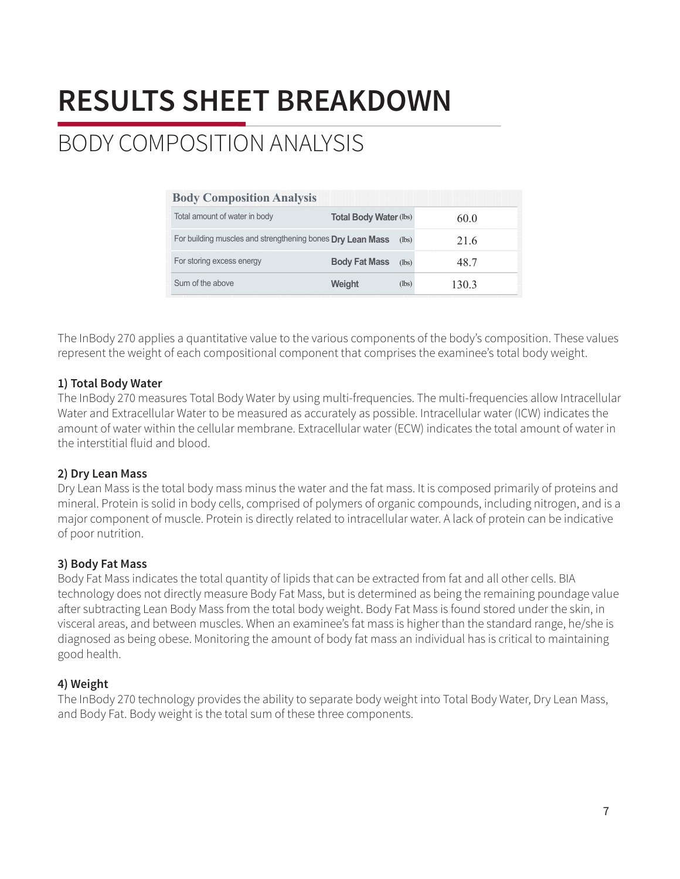## BODY COMPOSITION ANALYSIS

| <b>Body Composition Analysis</b>                           |                               |       |       |
|------------------------------------------------------------|-------------------------------|-------|-------|
| Total amount of water in body                              | <b>Total Body Water (lbs)</b> |       | 600   |
| For building muscles and strengthening bones Dry Lean Mass |                               | (lbs) | 216   |
| For storing excess energy                                  | <b>Body Fat Mass</b>          | (lbs) | 48 7  |
| Sum of the above                                           | Weiaht                        | (lbs) | 130.3 |

The InBody 270 applies a quantitative value to the various components of the body's composition. These values represent the weight of each compositional component that comprises the examinee's total body weight.

#### **1) Total Body Water**

The InBody 270 measures Total Body Water by using multi-frequencies. The multi-frequencies allow Intracellular Water and Extracellular Water to be measured as accurately as possible. Intracellular water (ICW) indicates the amount of water within the cellular membrane. Extracellular water (ECW) indicates the total amount of water in the interstitial fluid and blood.

#### **2) Dry Lean Mass**

Dry Lean Mass is the total body mass minus the water and the fat mass. It is composed primarily of proteins and mineral. Protein is solid in body cells, comprised of polymers of organic compounds, including nitrogen, and is a major component of muscle. Protein is directly related to intracellular water. A lack of protein can be indicative of poor nutrition.

#### **3) Body Fat Mass**

Body Fat Mass indicates the total quantity of lipids that can be extracted from fat and all other cells. BIA technology does not directly measure Body Fat Mass, but is determined as being the remaining poundage value afer subtracting Lean Body Mass from the total body weight. Body Fat Mass is found stored under the skin, in visceral areas, and between muscles. When an examinee's fat mass is higher than the standard range, he/she is diagnosed as being obese. Monitoring the amount of body fat mass an individual has is critical to maintaining good health.

#### **4) Weight**

The InBody 270 technology provides the ability to separate body weight into Total Body Water, Dry Lean Mass, and Body Fat. Body weight is the total sum of these three components.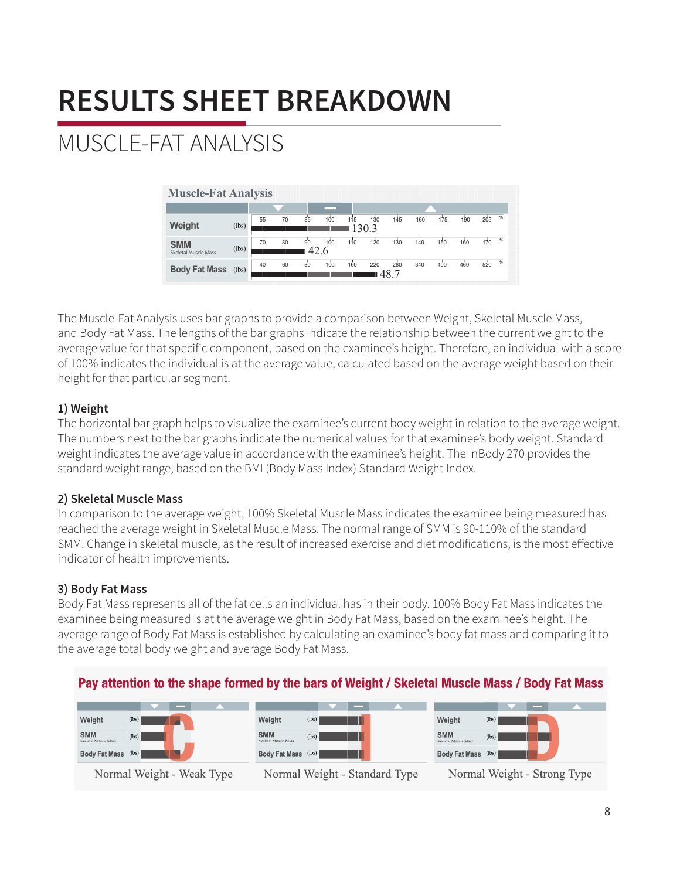## MUSCLE-FAT ANALYSIS

| Weight                                    | (lbs) | 55 | 70 | 85         | $100 -$ | 115 | 130<br>130.3 | 145        | 160 | 175 | 190 | 205 | 砺             |  |
|-------------------------------------------|-------|----|----|------------|---------|-----|--------------|------------|-----|-----|-----|-----|---------------|--|
| <b>SMM</b><br><b>Skeletal Muscle Mass</b> | (lbs) | 70 | 80 | 90<br>42.6 | 100     | 110 | 120          | 130        | 140 | 150 | 160 | 170 | $\frac{a}{b}$ |  |
| <b>Body Fat Mass</b>                      | (lbs) | 40 | 60 | 80         | $100 -$ | 160 | 220          | 280<br>487 | 340 | 400 | 460 | 520 | %             |  |

The Muscle-Fat Analysis uses bar graphs to provide a comparison between Weight, Skeletal Muscle Mass, and Body Fat Mass. The lengths of the bar graphs indicate the relationship between the current weight to the average value for that specific component, based on the examinee's height. Therefore, an individual with a score of 100% indicates the individual is at the average value, calculated based on the average weight based on their height for that particular segment.

### **1) Weight**

The horizontal bar graph helps to visualize the examinee's current body weight in relation to the average weight. The numbers next to the bar graphs indicate the numerical values for that examinee's body weight. Standard weight indicates the average value in accordance with the examinee's height. The InBody 270 provides the standard weight range, based on the BMI (Body Mass Index) Standard Weight Index.

### **2) Skeletal Muscle Mass**

In comparison to the average weight, 100% Skeletal Muscle Mass indicates the examinee being measured has reached the average weight in Skeletal Muscle Mass. The normal range of SMM is 90-110% of the standard SMM. Change in skeletal muscle, as the result of increased exercise and diet modifications, is the most efective indicator of health improvements.

### **3) Body Fat Mass**

Body Fat Mass represents all of the fat cells an individual has in their body. 100% Body Fat Mass indicates the examinee being measured is at the average weight in Body Fat Mass, based on the examinee's height. The average range of Body Fat Mass is established by calculating an examinee's body fat mass and comparing it to the average total body weight and average Body Fat Mass.

### Pay attention to the shape formed by the bars of Weight / Skeletal Muscle Mass / Body Fat Mass

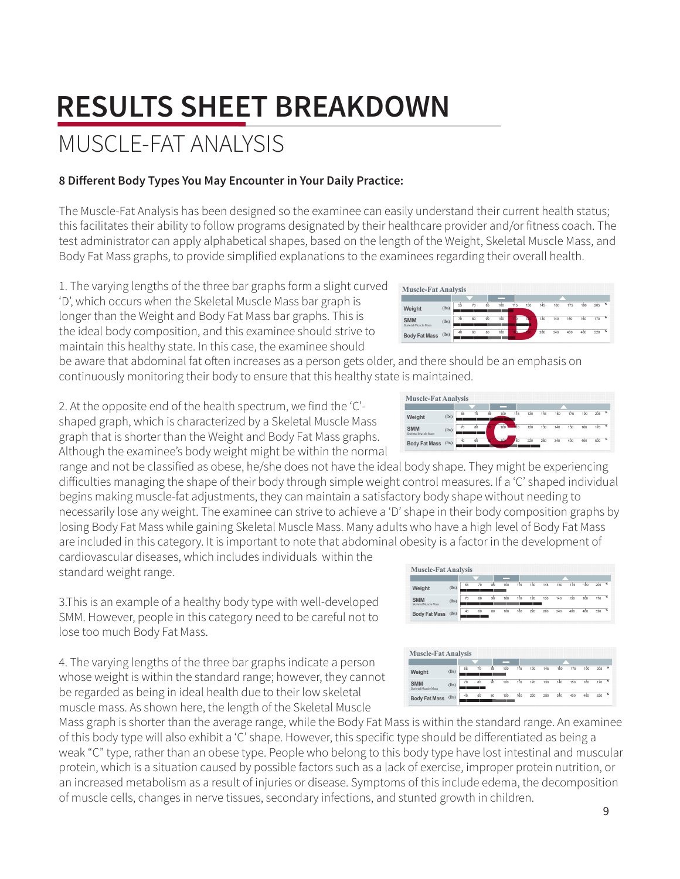9

## **RESULTS SHEET BREAKDOWN**

## MUSCLE-FAT ANALYSIS

### 8 Different Body Types You May Encounter in Your Daily Practice:

The Muscle-Fat Analysis has been designed so the examinee can easily understand their current health status; this facilitates their ability to follow programs designated by their healthcare provider and/or fitness coach. The test administrator can apply alphabetical shapes, based on the length of the Weight, Skeletal Muscle Mass, and Body Fat Mass graphs, to provide simplified explanations to the examinees regarding their overall health.

1. The varying lengths of the three bar graphs form a slight curved 'D', which occurs when the Skeletal Muscle Mass bar graph is longer than the Weight and Body Fat Mass bar graphs. This is the ideal body composition, and this examinee should strive to maintain this healthy state. In this case, the examinee should

be aware that abdominal fat often increases as a person gets older, and there should be an emphasis on continuously monitoring their body to ensure that this healthy state is maintained.

2. At the opposite end of the health spectrum, we find the 'C'shaped graph, which is characterized by a Skeletal Muscle Mass graph that is shorter than the Weight and Body Fat Mass graphs. Although the examinee's body weight might be within the normal

range and not be classified as obese, he/she does not have the ideal body shape. They might be experiencing difficulties managing the shape of their body through simple weight control measures. If a 'C' shaped individual begins making muscle-fat adjustments, they can maintain a satisfactory body shape without needing to necessarily lose any weight. The examinee can strive to achieve a 'D' shape in their body composition graphs by losing Body Fat Mass while gaining Skeletal Muscle Mass. Many adults who have a high level of Body Fat Mass are included in this category. It is important to note that abdominal obesity is a factor in the development of

cardiovascular diseases, which includes individuals within the standard weight range.

3. This is an example of a healthy body type with well-developed SMM. However, people in this category need to be careful not to lose too much Body Fat Mass.

4. The varying lengths of the three bar graphs indicate a person whose weight is within the standard range; however, they cannot be regarded as being in ideal health due to their low skeletal muscle mass. As shown here, the length of the Skeletal Muscle

Mass graph is shorter than the average range, while the Body Fat Mass is within the standard range. An examinee of this body type will also exhibit a 'C' shape. However, this specific type should be differentiated as being a weak "C" type, rather than an obese type. People who belong to this body type have lost intestinal and muscular protein, which is a situation caused by possible factors such as a lack of exercise, improper protein nutrition, or an increased metabolism as a result of injuries or disease. Symptoms of this include edema, the decomposition of muscle cells, changes in nerve tissues, secondary infections, and stunted growth in children.





**Muscle-Fat Analysis** 

Muscle-Fat Analysis

Weight

**SMM** 

Body Fat Mass (lb)

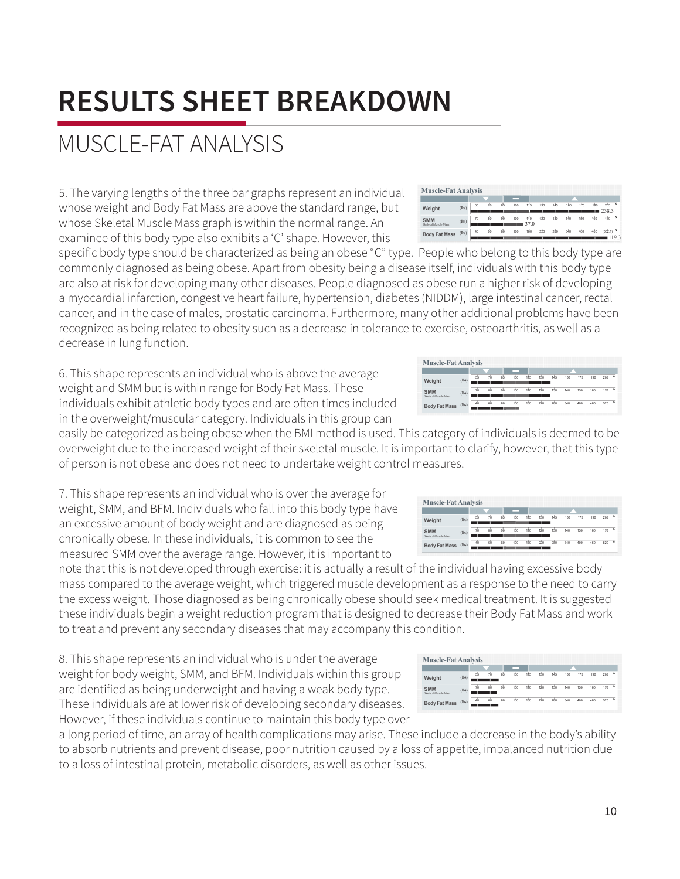## MUSCLE-FAT ANALYSIS

5. The varying lengths of the three bar graphs represent an individual whose weight and Body Fat Mass are above the standard range, but whose Skeletal Muscle Mass graph is within the normal range. An examinee of this body type also exhibits a 'C' shape. However, this

specific body type should be characterized as being an obese "C" type. People who belong to this body type are commonly diagnosed as being obese. Apart from obesity being a disease itself, individuals with this body type are also at risk for developing many other diseases. People diagnosed as obese run a higher risk of developing a myocardial infarction, congestive heart failure, hypertension, diabetes (NIDDM), large intestinal cancer, rectal cancer, and in the case of males, prostatic carcinoma. Furthermore, many other additional problems have been recognized as being related to obesity such as a decrease in tolerance to exercise, osteoarthritis, as well as a decrease in lung function.

6. This shape represents an individual who is above the average weight and SMM but is within range for Body Fat Mass. These individuals exhibit athletic body types and are often times included in the overweight/muscular category. Individuals in this group can

easily be categorized as being obese when the BMI method is used. This category of individuals is deemed to be overweight due to the increased weight of their skeletal muscle. It is important to clarify, however, that this type of person is not obese and does not need to undertake weight control m

7. This shape represents an individual who is over the average for weight, SMM, and BFM. Individuals who fall into this body type have an excessive amount of body weight and are diagnosed as being chronically obese. In these individuals, it is common to see the measured SMM over the average range. However, it is important to

measured shim over the average range: However, it is important to<br>note that this is not developed through exercise: it is actually a result of the individual having excessive body mass compared to the average weight, which triggered muscle development as a response to the need to carry the excess weight. Those diagnosed as being chronically obese should seek medical treatment. It is suggested these individuals begin a weight reduction program that is designed to decrease their Body Fat Mass and work to treat and prevent any secondary diseases that may accompany this condition.

8. This shape represents an individual who is under the average weight for body weight, SMM, and BFM. Individuals within this group are identified as being underweight and having a weak body type. These individuals are at lower risk of developing secondary diseases. However, if these individuals continue to maintain this body type over

a long period of time, an array of health complications may arise. These include a decrease in the body's ability to absorb nutrients and prevent disease, poor nutrition caused by a loss of appetite, imbalanced nutrition due to a loss of intestinal protein, metabolic disorders, as well as other issues.

| <b>Muscle-Fat Analysis</b>         |       |    |     |    |     |     |         |     |     |     |     |         |  |
|------------------------------------|-------|----|-----|----|-----|-----|---------|-----|-----|-----|-----|---------|--|
|                                    |       |    |     |    |     |     |         |     |     |     |     |         |  |
| Weight                             | (lbs) | 66 | 70  | 85 | 100 | 115 | 130     | 145 | 160 | 175 | 190 | 206     |  |
| <b>SMM</b><br>Skeletal Muscle Mass | (lbs) | 70 | ŔÈ  | s. | 100 | 110 | $120 -$ | 130 | 140 | 1Ñ0 | 160 | $120 -$ |  |
| <b>Body Fat Mass</b>               | (lbs) | 40 | Κ'n | 80 | 100 | 160 | 220     | 280 | 240 |     | akr |         |  |

55 70 85 100 115 130 145 160 175 190 205 70 80 90 100 110 120 130 140 150 160 170 40 60 80 100 160 220 280 340 400 460 520



**Muscle-Fat Analysis**

(lbs) (lbs)

**Body Fat Mass** (lbs)

**Muscle-Fat Analysis**

(lbs) (lbs)

**Body Fat Mass** (lbs)

**Weight SMM** Skeletal Muscle Mass

**Weight SMM** Skeletal Muscle Mass

| easures.                   |  |  |  |  |  |  |  |
|----------------------------|--|--|--|--|--|--|--|
|                            |  |  |  |  |  |  |  |
| <b>Muscle-Fat Analysis</b> |  |  |  |  |  |  |  |
|                            |  |  |  |  |  |  |  |
|                            |  |  |  |  |  |  |  |
|                            |  |  |  |  |  |  |  |

55 70 85 100 115 130 145 160 175 190 205 70 80 90 100 110 120 130 140 150 160 170 40 60 80 100 160 220 280 340 400 460 520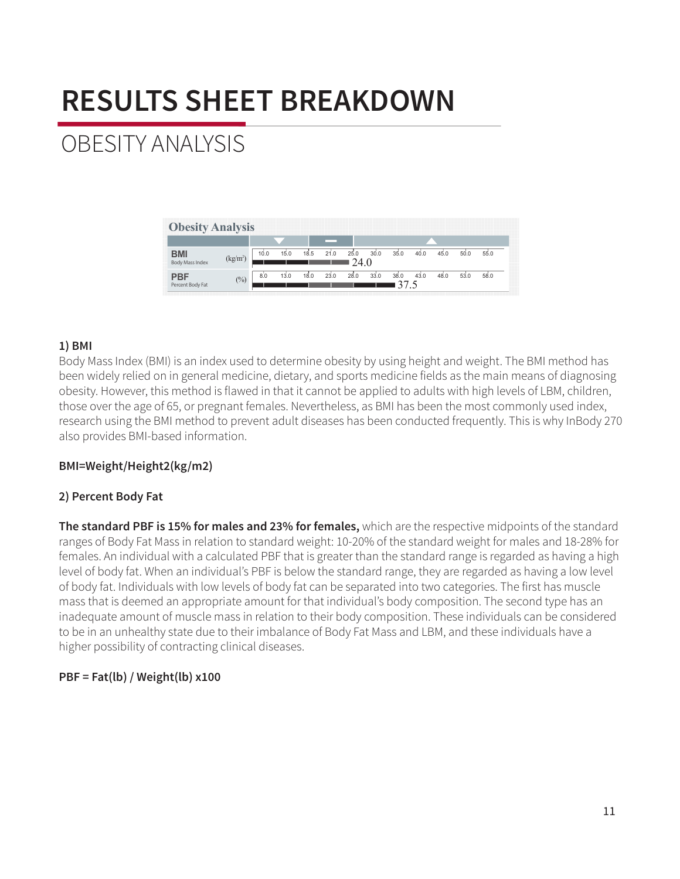## OBESITY ANALYSIS

| <b>Obesity Analysis</b>        |                      |      |      |      |      |             |      |            |      |      |      |      |
|--------------------------------|----------------------|------|------|------|------|-------------|------|------------|------|------|------|------|
|                                |                      |      |      |      |      |             |      |            |      |      |      |      |
| <b>BMI</b><br>Body Mass Index  | (kg/m <sup>2</sup> ) | 10.0 | 15.0 | 18.5 | 21.0 | 25.0<br>240 | 30.0 | 35.0       | 40.0 | 45.0 | 50.0 | 55.0 |
| <b>PBF</b><br>Percent Body Fat | $\frac{0}{0}$        | 8.0  | 13.0 | 18.0 | 23.0 | 28.0        | 33.0 | 38.0<br>37 | 43.0 | 48.0 | 53.0 | 58.0 |

#### **1) BMI**

Body Mass Index (BMI) is an index used to determine obesity by using height and weight. The BMI method has been widely relied on in general medicine, dietary, and sports medicine fields as the main means of diagnosing obesity. However, this method is flawed in that it cannot be applied to adults with high levels of LBM, children, those over the age of 65, or pregnant females. Nevertheless, as BMI has been the most commonly used index, research using the BMI method to prevent adult diseases has been conducted frequently. This is why InBody 270 also provides BMI-based information.

#### **BMI=Weight/Height2(kg/m2)**

#### **2) Percent Body Fat**

**The standard PBF is 15% for males and 23% for females,** which are the respective midpoints of the standard ranges of Body Fat Mass in relation to standard weight: 10-20% of the standard weight for males and 18-28% for females. An individual with a calculated PBF that is greater than the standard range is regarded as having a high level of body fat. When an individual's PBF is below the standard range, they are regarded as having a low level of body fat. Individuals with low levels of body fat can be separated into two categories. The first has muscle mass that is deemed an appropriate amount for that individual's body composition. The second type has an inadequate amount of muscle mass in relation to their body composition. These individuals can be considered to be in an unhealthy state due to their imbalance of Body Fat Mass and LBM, and these individuals have a higher possibility of contracting clinical diseases.

#### **PBF = Fat(lb) / Weight(lb) x100**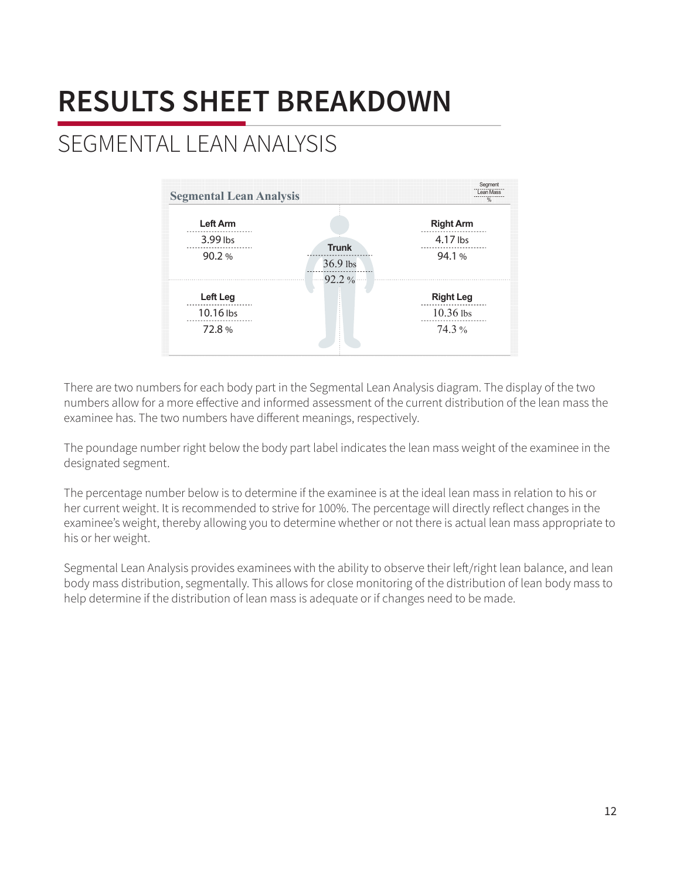## SEGMENTAL LEAN ANALYSIS



There are two numbers for each body part in the Segmental Lean Analysis diagram. The display of the two numbers allow for a more efective and informed assessment of the current distribution of the lean mass the examinee has. The two numbers have diferent meanings, respectively.

The poundage number right below the body part label indicates the lean mass weight of the examinee in the designated segment.

The percentage number below is to determine if the examinee is at the ideal lean mass in relation to his or her current weight. It is recommended to strive for 100%. The percentage will directly reflect changes in the examinee's weight, thereby allowing you to determine whether or not there is actual lean mass appropriate to his or her weight.

Segmental Lean Analysis provides examinees with the ability to observe their lef/right lean balance, and lean body mass distribution, segmentally. This allows for close monitoring of the distribution of lean body mass to help determine if the distribution of lean mass is adequate or if changes need to be made.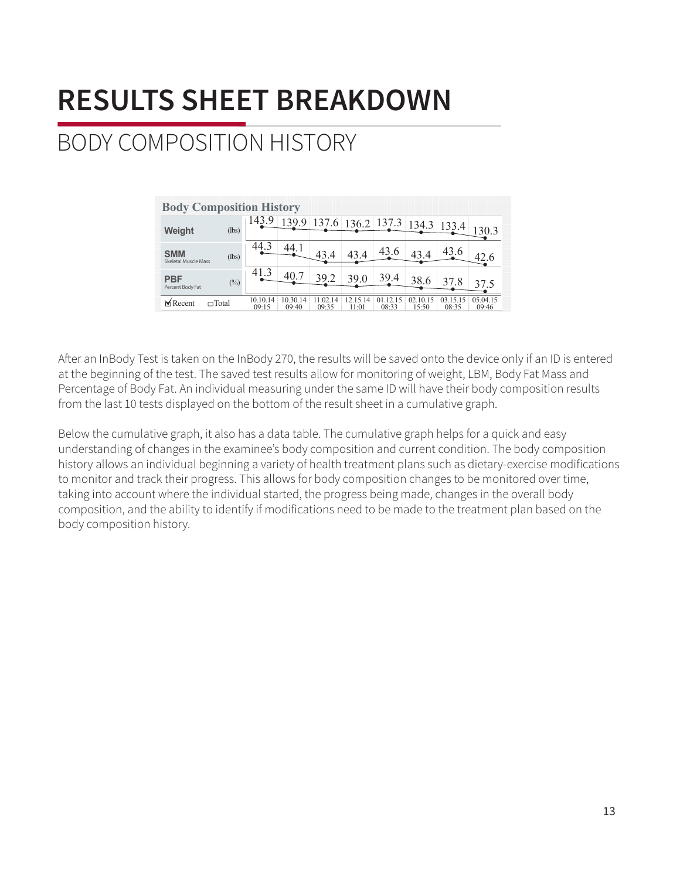## BODY COMPOSITION HISTORY

| <b>Body Composition History</b>           |              |                   |                   |                   |                   |                   |                   |                   |                   |
|-------------------------------------------|--------------|-------------------|-------------------|-------------------|-------------------|-------------------|-------------------|-------------------|-------------------|
| Weight                                    | (lbs)        | 143.              | 139.              | 6.6               |                   | 136.2 137.3       | 134.3             |                   |                   |
| <b>SMM</b><br><b>Skeletal Muscle Mass</b> | (lbs)        | 44.               | 44.               | 43.4              | 43.4              | 43.6              |                   |                   |                   |
| <b>PBF</b><br>Percent Body Fat            | $(\%)$       | 41.3              | 40                | 39.2              | 39.0              | 39.4              | 38.6              | 37.8              | 37.5              |
| $M$ Recent                                | $\Box$ Total | 10.10.14<br>09:15 | 10.30.14<br>09.40 | 11.02.14<br>09:35 | 12.15.14<br>11:01 | 01.12.15<br>08:33 | 02.10.15<br>15:50 | 03.15.15<br>08:35 | 05 04 15<br>09:46 |

Afer an InBody Test is taken on the InBody 270, the results will be saved onto the device only if an ID is entered at the beginning of the test. The saved test results allow for monitoring of weight, LBM, Body Fat Mass and Percentage of Body Fat. An individual measuring under the same ID will have their body composition results from the last 10 tests displayed on the bottom of the result sheet in a cumulative graph.

Below the cumulative graph, it also has a data table. The cumulative graph helps for a quick and easy understanding of changes in the examinee's body composition and current condition. The body composition history allows an individual beginning a variety of health treatment plans such as dietary-exercise modifications to monitor and track their progress. This allows for body composition changes to be monitored over time, taking into account where the individual started, the progress being made, changes in the overall body composition, and the ability to identify if modifications need to be made to the treatment plan based on the body composition history.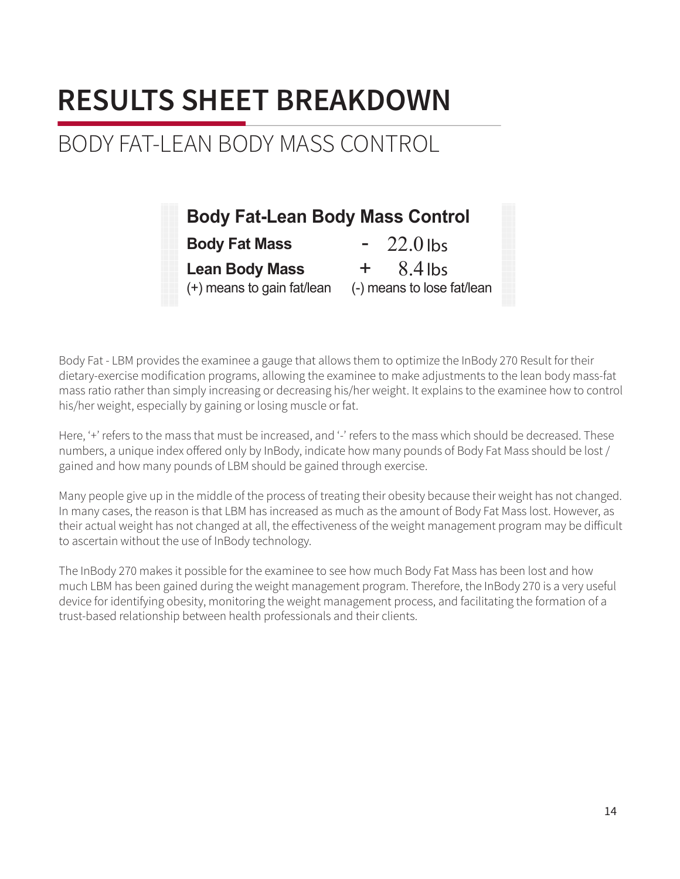### BODY FAT-LEAN BODY MASS CONTROL

| <b>Body Fat-Lean Body Mass Control</b>              |                                                |
|-----------------------------------------------------|------------------------------------------------|
| <b>Body Fat Mass</b>                                | $-22.0$ lbs                                    |
| <b>Lean Body Mass</b><br>(+) means to gain fat/lean | $8.4$ lbs<br>$+$<br>(-) means to lose fat/lean |

Body Fat - LBM provides the examinee a gauge that allows them to optimize the InBody 270 Result for their dietary-exercise modification programs, allowing the examinee to make adjustments to the lean body mass-fat mass ratio rather than simply increasing or decreasing his/her weight. It explains to the examinee how to control his/her weight, especially by gaining or losing muscle or fat.

Here, '+' refers to the mass that must be increased, and '-' refers to the mass which should be decreased. These numbers, a unique index offered only by InBody, indicate how many pounds of Body Fat Mass should be lost / gained and how many pounds of LBM should be gained through exercise.

Many people give up in the middle of the process of treating their obesity because their weight has not changed. In many cases, the reason is that LBM has increased as much as the amount of Body Fat Mass lost. However, as their actual weight has not changed at all, the efectiveness of the weight management program may be dificult to ascertain without the use of InBody technology.

The InBody 270 makes it possible for the examinee to see how much Body Fat Mass has been lost and how much LBM has been gained during the weight management program. Therefore, the InBody 270 is a very useful device for identifying obesity, monitoring the weight management process, and facilitating the formation of a trust-based relationship between health professionals and their clients.